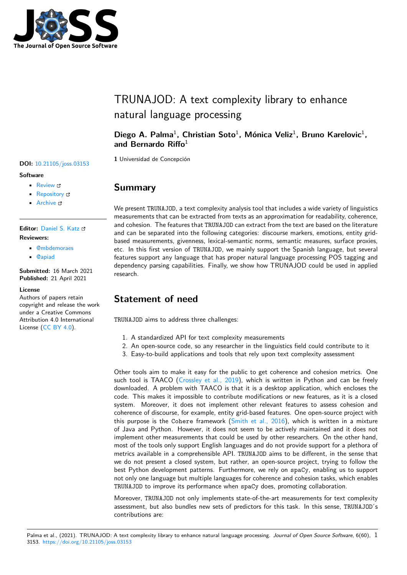

# TRUNAJOD: A text complexity library to enhance natural language processing

Diego A. Palma<sup>1</sup>, Christian Soto<sup>1</sup>, Mónica Veliz<sup>1</sup>, Bruno Karelovic<sup>1</sup>, **and Bernardo Riffo**<sup>1</sup>

**1** Universidad de Concepción

• Review C

**Software**

• [Repository](https://doi.org/10.21105/joss.03153) &

**DOI:** 10.21105/joss.03153

• Archive

**Editor:** [Daniel S.](https://github.com/dpalmasan/TRUNAJOD2.0) Katz **Revie[wers:](https://doi.org/10.5281/zenodo.4707403)**

- @mbdemoraes
- @[apiad](http://danielskatz.org/)

**Submitted:** 16 March 2021 **Published:** [21 April](https://github.com/mbdemoraes) 2021

#### **Licen[se](https://github.com/apiad)**

Authors of papers retain copyright and release the work under a Creative Commons Attribution 4.0 International License (CC BY 4.0).

### **Summary**

We present TRUNAJOD, a text complexity analysis tool that includes a wide variety of linguistics measurements that can be extracted from texts as an approximation for readability, coherence, and cohesion. The features that TRUNAJOD can extract from the text are based on the literature and can be separated into the following categories: discourse markers, emotions, entity gridbased measurements, givenness, lexical-semantic norms, semantic measures, surface proxies, etc. In this first version of TRUNAJOD, we mainly support the Spanish language, but several features support any language that has proper natural language processing POS tagging and dependency parsing capabilities. Finally, we show how TRUNAJOD could be used in applied research.

## **Statement of need**

TRUNAJOD aims to address three challenges:

- 1. A standardized API for text complexity measurements
- 2. An open-source code, so any researcher in the linguistics field could contribute to it
- 3. Easy-to-build applications and tools that rely upon text complexity assessment

Other tools aim to make it easy for the public to get coherence and cohesion metrics. One such tool is TAACO (Crossley et al., 2019), which is written in Python and can be freely downloaded. A problem with TAACO is that it is a desktop application, which encloses the code. This makes it impossible to contribute modifications or new features, as it is a closed system. Moreover, it does not implement other relevant features to assess cohesion and coherence of discourse[, for example, entity g](#page-2-0)rid-based features. One open-source project with this purpose is the Cohere framework  $(Smith et al., 2016)$ , which is written in a mixture of Java and Python. However, it does not seem to be actively maintained and it does not implement other measurements that could be used by other researchers. On the other hand, most of the tools only support English languages and do not provide support for a plethora of metrics available in a comprehensible API. [TRUNAJOD](#page-3-0) aims to be different, in the sense that we do not present a closed system, but rather, an open-source project, trying to follow the best Python development patterns. Furthermore, we rely on spaCy, enabling us to support not only one language but multiple languages for coherence and cohesion tasks, which enables TRUNAJOD to improve its performance when spaCy does, promoting collaboration.

Moreover, TRUNAJOD not only implements state-of-the-art measurements for text complexity assessment, but also bundles new sets of predictors for this task. In this sense, TRUNAJOD's contributions are: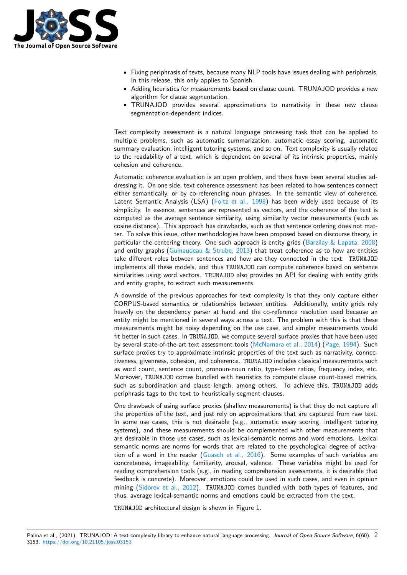

- Fixing periphrasis of texts, because many NLP tools have issues dealing with periphrasis. In this release, this only applies to Spanish.
- Adding heuristics for measurements based on clause count. TRUNAJOD provides a new algorithm for clause segmentation.
- TRUNAJOD provides several approximations to narrativity in these new clause segmentation-dependent indices.

Text complexity assessment is a natural language processing task that can be applied to multiple problems, such as automatic summarization, automatic essay scoring, automatic summary evaluation, intelligent tutoring systems, and so on. Text complexity is usually related to the readability of a text, which is dependent on several of its intrinsic properties, mainly cohesion and coherence.

Automatic coherence evaluation is an open problem, and there have been several studies addressing it. On one side, text coherence assessment has been related to how sentences connect either semantically, or by co-referencing noun phrases. In the semantic view of coherence, Latent Semantic Analysis (LSA) (Foltz et al., 1998) has been widely used because of its simplicity. In essence, sentences are represented as vectors, and the coherence of the text is computed as the average sentence similarity, using similarity vector measurements (such as cosine distance). This approach has drawbacks, such as that sentence ordering does not matter. To solve this issue, other meth[odologies have been](#page-2-1) proposed based on discourse theory, in particular the centering theory. One such approach is entity grids (Barzilay  $\&$  Lapata, 2008) and entity graphs (Guinaudeau  $&$  Strube, 2013) that treat coherence as to how are entities take different roles between sentences and how are they connected in the text. TRUNAJOD implements all these models, and thus TRUNAJOD can compute coherence based on sentence similarities using word vectors. TRUNAJOD also provides an API fo[r dealing with entity grids](#page-2-2) and entity graphs, [to extract such measurement](#page-2-3)s.

A downside of the previous approaches for text complexity is that they only capture either CORPUS-based semantics or relationships between entities. Additionally, entity grids rely heavily on the dependency parser at hand and the co-reference resolution used because an entity might be mentioned in several ways across a text. The problem with this is that these measurements might be noisy depending on the use case, and simpler measurements would fit better in such cases. In TRUNAJOD, we compute several surface proxies that have been used by several state-of-the-art text assessment tools (McNamara et al., 2014) (Page, 1994). Such surface proxies try to approximate intrinsic properties of the text such as narrativity, connectiveness, givenness, cohesion, and coherence. TRUNAJOD includes classical measurements such as word count, sentence count, pronoun-noun ratio, type-token ratios, frequency index, etc. Moreover, TRUNAJOD comes bundled with heuris[tics to compute clause](#page-2-4) co[unt-based m](#page-2-5)etrics, such as subordination and clause length, among others. To achieve this, TRUNAJOD adds periphrasis tags to the text to heuristically segment clauses.

One drawback of using surface proxies (shallow measurements) is that they do not capture all the properties of the text, and just rely on approximations that are captured from raw text. In some use cases, this is not desirable (e.g., automatic essay scoring, intelligent tutoring systems), and these measurements should be complemented with other measurements that are desirable in those use cases, such as lexical-semantic norms and word emotions. Lexical semantic norms are norms for words that are related to the psychological degree of activation of a word in the reader (Guasch et al., 2016). Some examples of such variables are concreteness, imageability, familiarity, arousal, valence. These variables might be used for reading comprehension tools (e.g., in reading comprehension assessments, it is desirable that feedback is concrete). Moreover, emotions could be used in such cases, and even in opinion mining (Sidorov et al., 2012). [TRUNAJOD](#page-2-6) comes bundled with both types of features, and thus, average lexical-semantic norms and emotions could be extracted from the text.

TRUNAJOD architectural design is shown in Figure 1.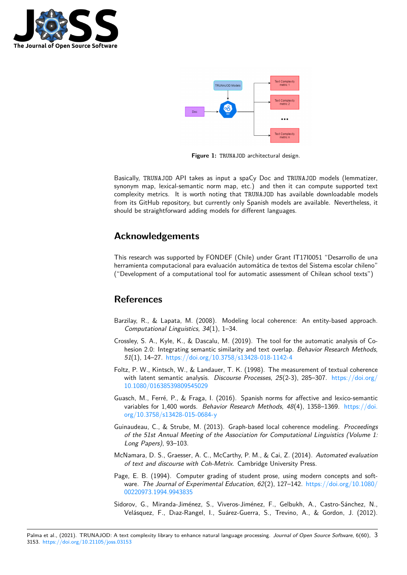



**Figure 1:** TRUNAJOD architectural design.

Basically, TRUNAJOD API takes as input a spaCy Doc and TRUNAJOD models (lemmatizer, synonym map, lexical-semantic norm map, etc.) and then it can compute supported text complexity metrics. It is worth noting that TRUNAJOD has available downloadable models from its GitHub repository, but currently only Spanish models are available. Nevertheless, it should be straightforward adding models for different languages.

### **Acknowledgements**

This research was supported by FONDEF (Chile) under Grant IT17I0051 "Desarrollo de una herramienta computacional para evaluación automática de textos del Sistema escolar chileno" ("Development of a computational tool for automatic assessment of Chilean school texts")

#### **References**

- Barzilay, R., & Lapata, M. (2008). Modeling local coherence: An entity-based approach. *Computational Linguistics*, *34*(1), 1–34.
- <span id="page-2-2"></span>Crossley, S. A., Kyle, K., & Dascalu, M. (2019). The tool for the automatic analysis of Cohesion 2.0: Integrating semantic similarity and text overlap. *Behavior Research Methods*, *51*(1), 14–27. https://doi.org/10.3758/s13428-018-1142-4
- <span id="page-2-0"></span>Foltz, P. W., Kintsch, W., & Landauer, T. K. (1998). The measurement of textual coherence with latent semantic analysis. *Discourse Processes*, *25*(2-3), 285–307. https://doi.org/ 10.1080/0163[8539809545029](https://doi.org/10.3758/s13428-018-1142-4)
- <span id="page-2-1"></span>Guasch, M., Ferré, P., & Fraga, I. (2016). Spanish norms for affective and lexico-semantic variables for 1,400 words. *Behavior Research Methods*, *48*(4), 1358–1369. [https://doi.](https://doi.org/10.1080/01638539809545029) [org/10.3758/s13428-015-068](https://doi.org/10.1080/01638539809545029)4-y
- <span id="page-2-6"></span>Guinaudeau, C., & Strube, M. (2013). Graph-based local coherence modeling. *Proceedings of the 51st Annual Meeting of the Association for Computational Linguistics [\(Volume 1:](https://doi.org/10.3758/s13428-015-0684-y) [Long Papers\)](https://doi.org/10.3758/s13428-015-0684-y)*, 93–103.
- <span id="page-2-3"></span>McNamara, D. S., Graesser, A. C., McCarthy, P. M., & Cai, Z. (2014). *Automated evaluation of text and discourse with Coh-Metrix*. Cambridge University Press.
- Page, E. B. (1994). Computer grading of student prose, using modern concepts and software. *The Journal of Experimental Education*, *62*(2), 127–142. https://doi.org/10.1080/ 00220973.1994.9943835
- <span id="page-2-5"></span><span id="page-2-4"></span>Sidorov, G., Miranda-Jiménez, S., Viveros-Jiménez, F., Gelbukh, A., Castro-Sánchez, N., Velásquez, F., Dıaz-Rangel, I., Suárez-Guerra, S., Trevino, [A., & Gordon, J. \(2012\).](https://doi.org/10.1080/00220973.1994.9943835)